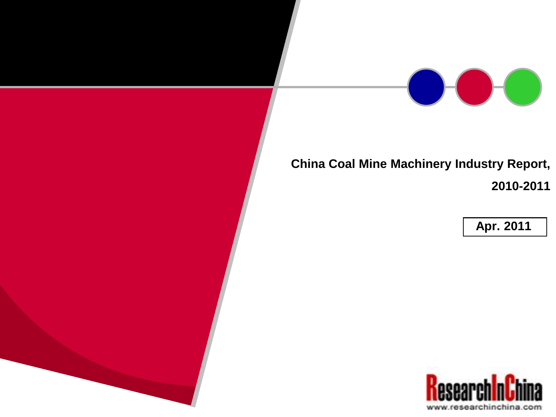

# **China Coal Mine Machinery Industry Report, 2010-2011**

**Apr. 2011**

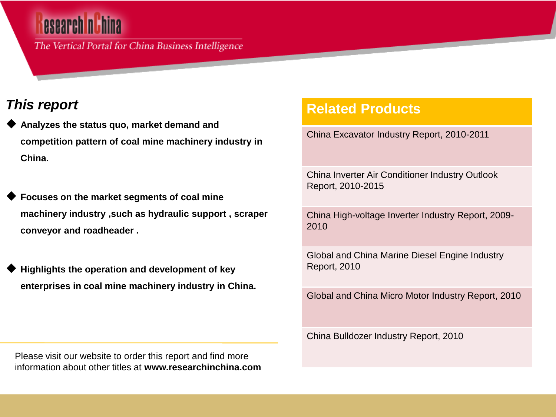The Vertical Portal for China Business Intelligence

## *This report*

- **Analyzes the status quo, market demand and competition pattern of coal mine machinery industry in China.**
- **Focuses on the market segments of coal mine machinery industry ,such as hydraulic support , scraper conveyor and roadheader .**
- **Highlights the operation and development of key enterprises in coal mine machinery industry in China.**

### **Related Products**

China Excavator Industry Report, 2010-2011

China Inverter Air Conditioner Industry Outlook Report, 2010-2015

China High-voltage Inverter Industry Report, 2009- 2010

Global and China Marine Diesel Engine Industry Report, 2010

Global and China Micro Motor Industry Report, 2010

China Bulldozer Industry Report, 2010

Please visit our website to order this report and find more information about other titles at **www.researchinchina.com**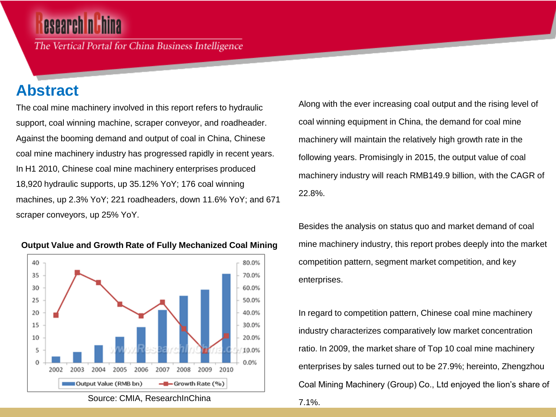The Vertical Portal for China Business Intelligence

## **Abstract**

The coal mine machinery involved in this report refers to hydraulic support, coal winning machine, scraper conveyor, and roadheader. Against the booming demand and output of coal in China, Chinese coal mine machinery industry has progressed rapidly in recent years. In H1 2010, Chinese coal mine machinery enterprises produced 18,920 hydraulic supports, up 35.12% YoY; 176 coal winning machines, up 2.3% YoY; 221 roadheaders, down 11.6% YoY; and 671 scraper conveyors, up 25% YoY.



#### **Output Value and Growth Rate of Fully Mechanized Coal Mining**

Source: CMIA, ResearchInChina

Along with the ever increasing coal output and the rising level of coal winning equipment in China, the demand for coal mine machinery will maintain the relatively high growth rate in the following years. Promisingly in 2015, the output value of coal machinery industry will reach RMB149.9 billion, with the CAGR of 22.8%.

Besides the analysis on status quo and market demand of coal mine machinery industry, this report probes deeply into the market competition pattern, segment market competition, and key enterprises.

In regard to competition pattern, Chinese coal mine machinery industry characterizes comparatively low market concentration ratio. In 2009, the market share of Top 10 coal mine machinery enterprises by sales turned out to be 27.9%; hereinto, Zhengzhou Coal Mining Machinery (Group) Co., Ltd enjoyed the lion's share of 7.1%.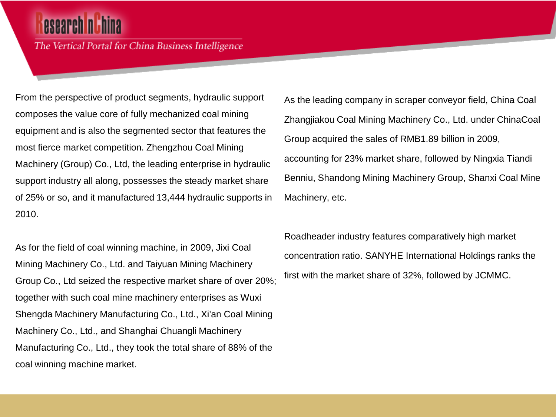The Vertical Portal for China Business Intelligence

From the perspective of product segments, hydraulic support composes the value core of fully mechanized coal mining equipment and is also the segmented sector that features the most fierce market competition. Zhengzhou Coal Mining Machinery (Group) Co., Ltd, the leading enterprise in hydraulic support industry all along, possesses the steady market share of 25% or so, and it manufactured 13,444 hydraulic supports in 2010.

As for the field of coal winning machine, in 2009, Jixi Coal Mining Machinery Co., Ltd. and Taiyuan Mining Machinery Group Co., Ltd seized the respective market share of over 20%; together with such coal mine machinery enterprises as Wuxi Shengda Machinery Manufacturing Co., Ltd., Xi'an Coal Mining Machinery Co., Ltd., and Shanghai Chuangli Machinery Manufacturing Co., Ltd., they took the total share of 88% of the coal winning machine market.

As the leading company in scraper conveyor field, China Coal Zhangjiakou Coal Mining Machinery Co., Ltd. under ChinaCoal Group acquired the sales of RMB1.89 billion in 2009, accounting for 23% market share, followed by Ningxia Tiandi Benniu, Shandong Mining Machinery Group, Shanxi Coal Mine Machinery, etc.

Roadheader industry features comparatively high market concentration ratio. SANYHE International Holdings ranks the first with the market share of 32%, followed by JCMMC.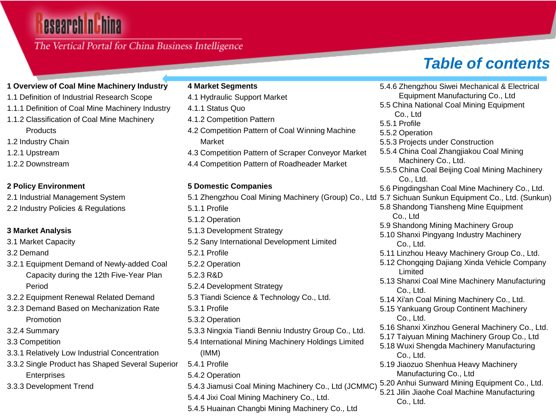# esearch nu hina

### The Vertical Portal for China Business Intelligence

# *Table of contents*

**4 Market Segments** 4.1 Hydraulic Support Market 4.1.1 Status Quo 4.1.2 Competition Pattern 4.2 Competition Pattern of Coal Winning Machine Market 4.3 Competition Pattern of Scraper Conveyor Market 4.4 Competition Pattern of Roadheader Market **5 Domestic Companies**  5.1.1 Profile 5.1.2 Operation 5.1.3 Development Strategy 5.2 Sany International Development Limited 5.2.1 Profile 5.2.2 Operation 5.2.3 R&D 5.2.4 Development Strategy 5.3 Tiandi Science & Technology Co., Ltd. 5.3.1 Profile 5.3.2 Operation 5.3.3 Ningxia Tiandi Benniu Industry Group Co., Ltd. 5.4 International Mining Machinery Holdings Limited (IMM) 5.4.1 Profile **1 Overview of Coal Mine Machinery Industry**  1.1 Definition of Industrial Research Scope 1.1.1 Definition of Coal Mine Machinery Industry 1.1.2 Classification of Coal Mine Machinery 1.2 Industry Chain 1.2.2 Downstream **2 Policy Environment**  2.1 Industrial Management System 2.2 Industry Policies & Regulations **3 Market Analysis**  3.1 Market Capacity 3.2.1 Equipment Demand of Newly-added Coal Capacity during the 12th Five-Year Plan 3.2.2 Equipment Renewal Related Demand 3.2.3 Demand Based on Mechanization Rate 3.3.1 Relatively Low Industrial Concentration

- 3.3.2 Single Product has Shaped Several Superior **Enterprises**
- 3.3.3 Development Trend

**Products** 

1.2.1 Upstream

3.2 Demand

Period

3.2.4 Summary 3.3 Competition

Promotion

- 5.4.2 Operation
- 5.4.3 Jiamusi Coal Mining Machinery Co., Ltd (JCMMC)
- 5.4.4 Jixi Coal Mining Machinery Co., Ltd.
- 5.4.5 Huainan Changbi Mining Machinery Co., Ltd

5.1 Zhengzhou Coal Mining Machinery (Group) Co., Ltd 5.7 Sichuan Sunkun Equipment Co., Ltd. (Sunkun) 5.4.6 Zhengzhou Siwei Mechanical & Electrical Equipment Manufacturing Co., Ltd 5.5 China National Coal Mining Equipment Co., Ltd 5.5.1 Profile 5.5.2 Operation 5.5.3 Projects under Construction 5.5.4 China Coal Zhangjiakou Coal Mining Machinery Co., Ltd. 5.5.5 China Coal Beijing Coal Mining Machinery Co., Ltd. 5.6 Pingdingshan Coal Mine Machinery Co., Ltd. 5.8 Shandong Tiansheng Mine Equipment Co., Ltd 5.9 Shandong Mining Machinery Group 5.10 Shanxi Pingyang Industry Machinery Co., Ltd. 5.11 Linzhou Heavy Machinery Group Co., Ltd. 5.12 Chongqing Dajiang Xinda Vehicle Company Limited 5.13 Shanxi Coal Mine Machinery Manufacturing Co., Ltd. 5.14 Xi'an Coal Mining Machinery Co., Ltd. 5.15 Yankuang Group Continent Machinery Co., Ltd. 5.16 Shanxi Xinzhou General Machinery Co., Ltd. 5.17 Taiyuan Mining Machinery Group Co., Ltd 5.18 Wuxi Shengda Machinery Manufacturing Co., Ltd. 5.19 Jiaozuo Shenhua Heavy Machinery Manufacturing Co., Ltd 5.20 Anhui Sunward Mining Equipment Co., Ltd. 5.21 Jilin Jiaohe Coal Machine Manufacturing

Co., Ltd.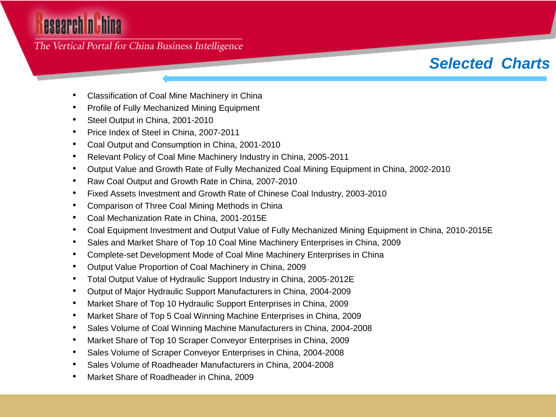# esearch nuhina

The Vertical Portal for China Business Intelligence

# *Selected Charts*

- Classification of Coal Mine Machinery in China
- Profile of Fully Mechanized Mining Equipment
- Steel Output in China, 2001-2010
- Price Index of Steel in China, 2007-2011
- Coal Output and Consumption in China, 2001-2010
- Relevant Policy of Coal Mine Machinery Industry in China, 2005-2011
- Output Value and Growth Rate of Fully Mechanized Coal Mining Equipment in China, 2002-2010
- Raw Coal Output and Growth Rate in China, 2007-2010
- Fixed Assets Investment and Growth Rate of Chinese Coal Industry, 2003-2010
- Comparison of Three Coal Mining Methods in China
- Coal Mechanization Rate in China, 2001-2015E
- Coal Equipment Investment and Output Value of Fully Mechanized Mining Equipment in China, 2010-2015E
- Sales and Market Share of Top 10 Coal Mine Machinery Enterprises in China, 2009
- Complete-set Development Mode of Coal Mine Machinery Enterprises in China
- Output Value Proportion of Coal Machinery in China, 2009
- Total Output Value of Hydraulic Support Industry in China, 2005-2012E
- Output of Major Hydraulic Support Manufacturers in China, 2004-2009
- Market Share of Top 10 Hydraulic Support Enterprises in China, 2009
- Market Share of Top 5 Coal Winning Machine Enterprises in China, 2009
- Sales Volume of Coal Winning Machine Manufacturers in China, 2004-2008
- Market Share of Top 10 Scraper Conveyor Enterprises in China, 2009
- Sales Volume of Scraper Conveyor Enterprises in China, 2004-2008
- Sales Volume of Roadheader Manufacturers in China, 2004-2008
- Market Share of Roadheader in China, 2009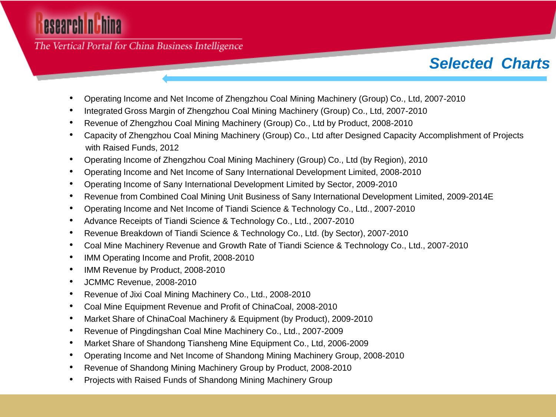# esearch n**ithina**

The Vertical Portal for China Business Intelligence

# *Selected Charts*

- Operating Income and Net Income of Zhengzhou Coal Mining Machinery (Group) Co., Ltd, 2007-2010
- Integrated Gross Margin of Zhengzhou Coal Mining Machinery (Group) Co., Ltd, 2007-2010
- Revenue of Zhengzhou Coal Mining Machinery (Group) Co., Ltd by Product, 2008-2010
- Capacity of Zhengzhou Coal Mining Machinery (Group) Co., Ltd after Designed Capacity Accomplishment of Projects with Raised Funds, 2012
- Operating Income of Zhengzhou Coal Mining Machinery (Group) Co., Ltd (by Region), 2010
- Operating Income and Net Income of Sany International Development Limited, 2008-2010
- Operating Income of Sany International Development Limited by Sector, 2009-2010
- Revenue from Combined Coal Mining Unit Business of Sany International Development Limited, 2009-2014E
- Operating Income and Net Income of Tiandi Science & Technology Co., Ltd., 2007-2010
- Advance Receipts of Tiandi Science & Technology Co., Ltd., 2007-2010
- Revenue Breakdown of Tiandi Science & Technology Co., Ltd. (by Sector), 2007-2010
- Coal Mine Machinery Revenue and Growth Rate of Tiandi Science & Technology Co., Ltd., 2007-2010
- IMM Operating Income and Profit, 2008-2010
- IMM Revenue by Product, 2008-2010
- JCMMC Revenue, 2008-2010
- Revenue of Jixi Coal Mining Machinery Co., Ltd., 2008-2010
- Coal Mine Equipment Revenue and Profit of ChinaCoal, 2008-2010
- Market Share of ChinaCoal Machinery & Equipment (by Product), 2009-2010
- Revenue of Pingdingshan Coal Mine Machinery Co., Ltd., 2007-2009
- Market Share of Shandong Tiansheng Mine Equipment Co., Ltd, 2006-2009
- Operating Income and Net Income of Shandong Mining Machinery Group, 2008-2010
- Revenue of Shandong Mining Machinery Group by Product, 2008-2010
- Projects with Raised Funds of Shandong Mining Machinery Group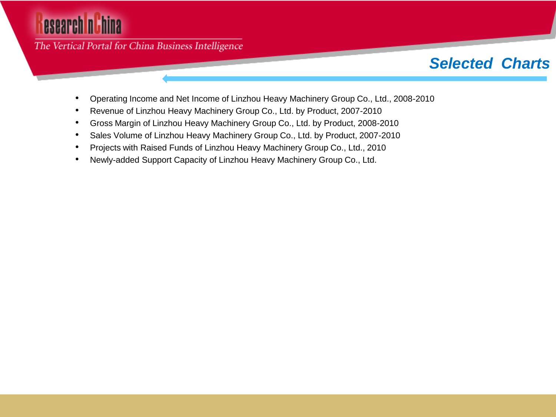# esearch nuhina

The Vertical Portal for China Business Intelligence

## *Selected Charts*

- Operating Income and Net Income of Linzhou Heavy Machinery Group Co., Ltd., 2008-2010
- Revenue of Linzhou Heavy Machinery Group Co., Ltd. by Product, 2007-2010
- Gross Margin of Linzhou Heavy Machinery Group Co., Ltd. by Product, 2008-2010
- Sales Volume of Linzhou Heavy Machinery Group Co., Ltd. by Product, 2007-2010
- Projects with Raised Funds of Linzhou Heavy Machinery Group Co., Ltd., 2010
- Newly-added Support Capacity of Linzhou Heavy Machinery Group Co., Ltd.